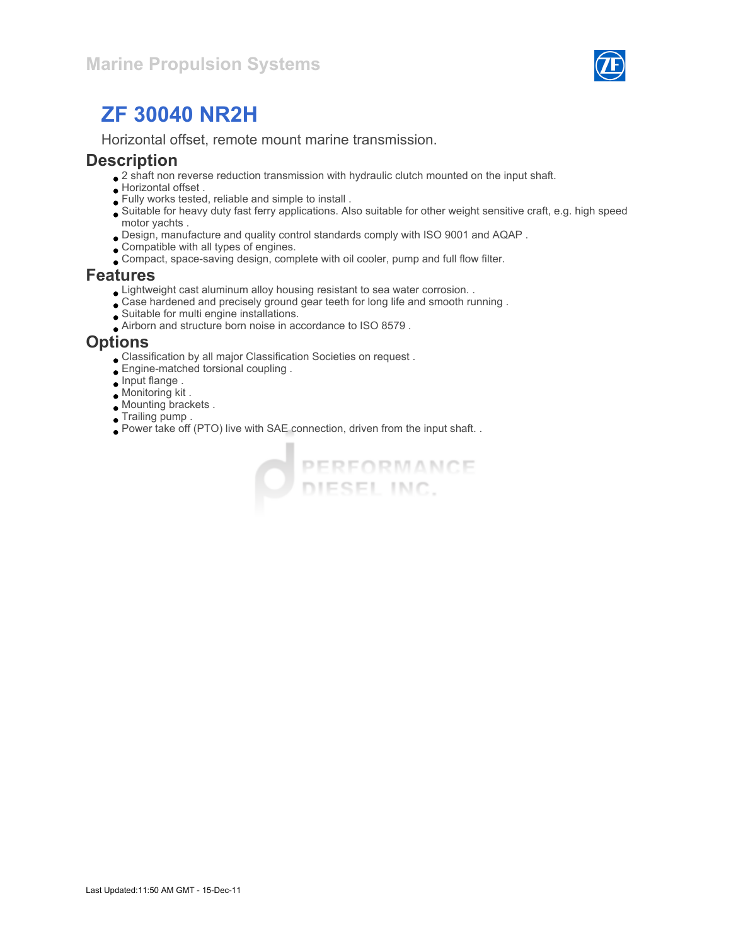

Horizontal offset, remote mount marine transmission.

#### **Description**

- $\bullet$  2 shaft non reverse reduction transmission with hydraulic clutch mounted on the input shaft.
- Horizontal offset .
- Fully works tested, reliable and simple to install .
- Suitable for heavy duty fast ferry applications. Also suitable for other weight sensitive craft, e.g. high speed motor yachts .
- Design, manufacture and quality control standards comply with ISO 9001 and AQAP .
- Compatible with all types of engines.
- Compact, space-saving design, complete with oil cooler, pump and full flow filter.

#### Features

- Lightweight cast aluminum alloy housing resistant to sea water corrosion. .
- Case hardened and precisely ground gear teeth for long life and smooth running .
- Suitable for multi engine installations.
- Airborn and structure born noise in accordance to ISO 8579 .

#### **Options**

- Classification by all major Classification Societies on request .
- Engine-matched torsional coupling .
- Input flange .
- Monitoring kit .
- Mounting brackets .
- Trailing pump .
- Power take off (PTO) live with SAE connection, driven from the input shaft. .

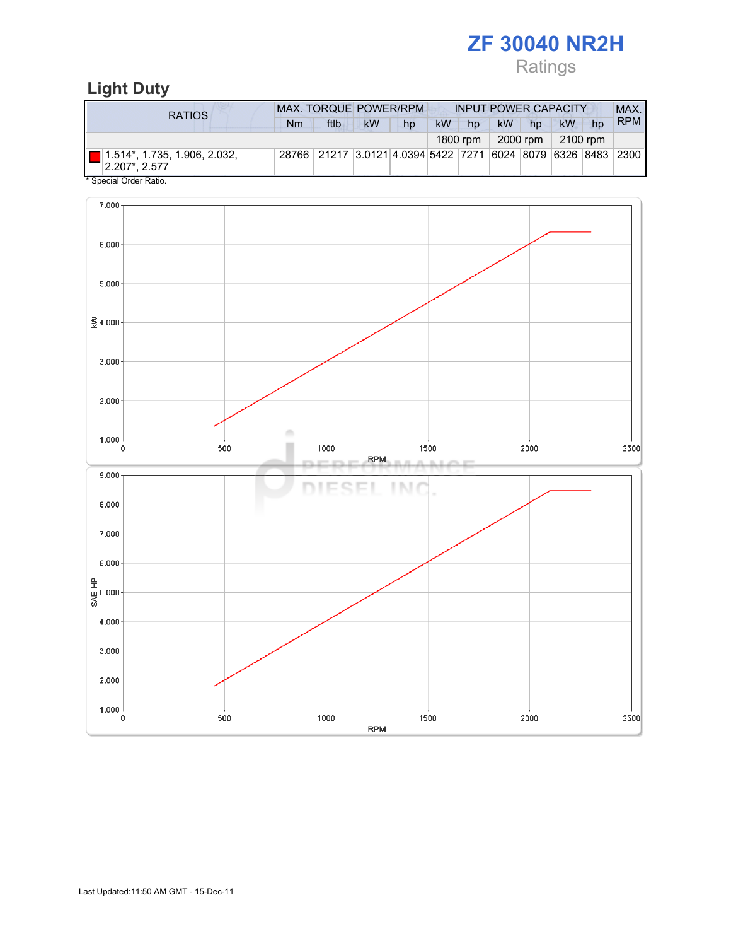# Ratings

# Light Duty

| RATIOS                                                               | <b>MAX. TORQUE POWER/RPM</b> | <b>INPUT POWER CAPACITY</b>                                  |           |    |           |          |           | MAX.       |          |    |            |
|----------------------------------------------------------------------|------------------------------|--------------------------------------------------------------|-----------|----|-----------|----------|-----------|------------|----------|----|------------|
|                                                                      | Nm                           | ftlb                                                         | <b>kW</b> | hp | <b>kW</b> | hp       | <b>kW</b> | hp         | kW       | hp | <b>RPM</b> |
|                                                                      |                              |                                                              |           |    |           | 1800 rpm |           | 2000 rpm 1 | 2100 rpm |    |            |
| $\Box$ 1.514*, 1.735, 1.906, 2.032,<br>$ 2.207$ <sup>*</sup> , 2.577 |                              | 28766 21217 3.0121 4.0394 5422 7271 6024 8079 6326 8483 2300 |           |    |           |          |           |            |          |    |            |

Special Order Ratio.

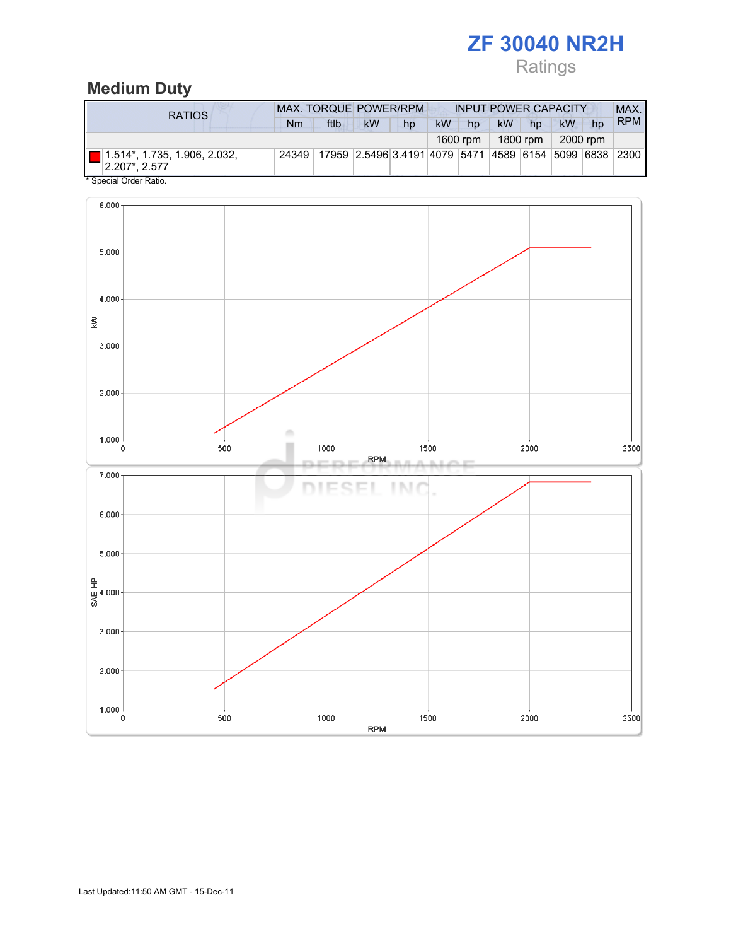# Ratings

# Medium Duty

| RATIOS                                        |       | <b>MAX. TORQUE POWER/RPM</b> |                                                        |    |    |          | <b>INPUT POWER CAPACITY</b> |          |           |    |            |  |
|-----------------------------------------------|-------|------------------------------|--------------------------------------------------------|----|----|----------|-----------------------------|----------|-----------|----|------------|--|
|                                               | Nm    | ftlb                         | <b>kW</b>                                              | hp | kW | hp       | <b>kW</b>                   | hp       | <b>kW</b> | hp | <b>RPM</b> |  |
|                                               |       |                              |                                                        |    |    | 1600 rpm |                             | 1800 rpm | 2000 rpm  |    |            |  |
| 1.514*, 1.735, 1.906, 2.032,<br>2.207*, 2.577 | 24349 |                              | 17959 2.5496 3.4191 4079 5471 4589 6154 5099 6838 2300 |    |    |          |                             |          |           |    |            |  |

Special Order Ratio.

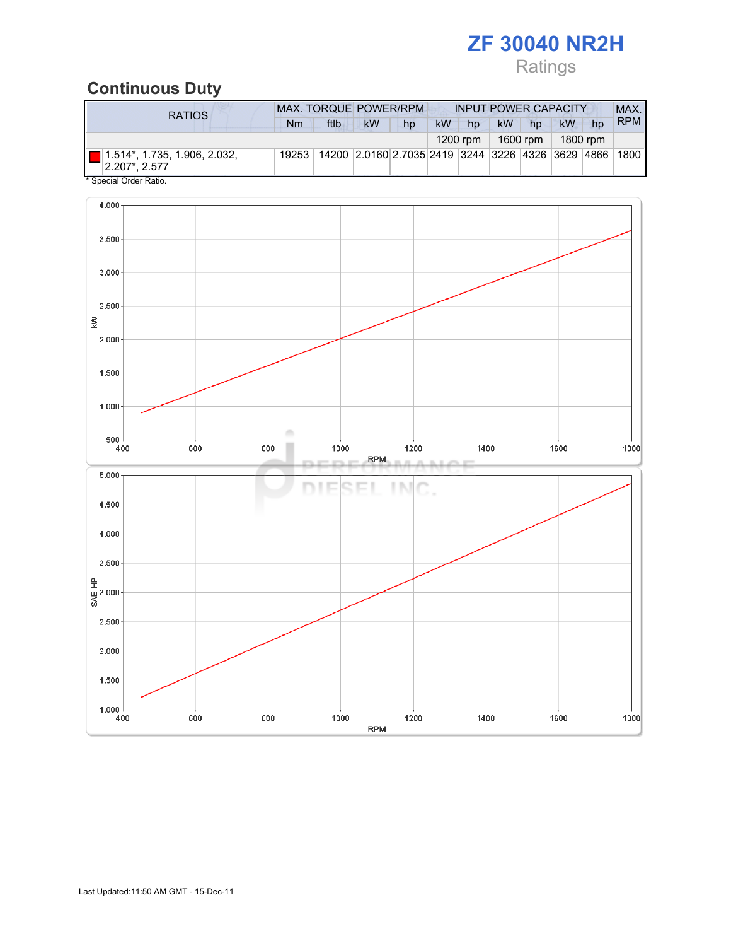# Ratings

## Continuous Duty

| RATIOS                                                               | <b>MAX. TORQUE POWER/RPM</b><br><b>INPUT POWER CAPACITY</b> |      |                                                        |    |           |            |           |          |    | MAX.     |            |
|----------------------------------------------------------------------|-------------------------------------------------------------|------|--------------------------------------------------------|----|-----------|------------|-----------|----------|----|----------|------------|
|                                                                      | Nm                                                          | ftlb | <b>kW</b>                                              | hp | <b>kW</b> | hp         | <b>kW</b> | hp       | kW | hp       | <b>RPM</b> |
|                                                                      |                                                             |      |                                                        |    |           | $1200$ rpm |           | 1600 rpm |    | 1800 rpm |            |
| $\Box$ 1.514*, 1.735, 1.906, 2.032,<br>$ 2.207$ <sup>*</sup> , 2.577 | 19253                                                       |      | 14200 2.0160 2.7035 2419 3244 3226 4326 3629 4866 1800 |    |           |            |           |          |    |          |            |
| * Special Order Ratio.                                               |                                                             |      |                                                        |    |           |            |           |          |    |          |            |

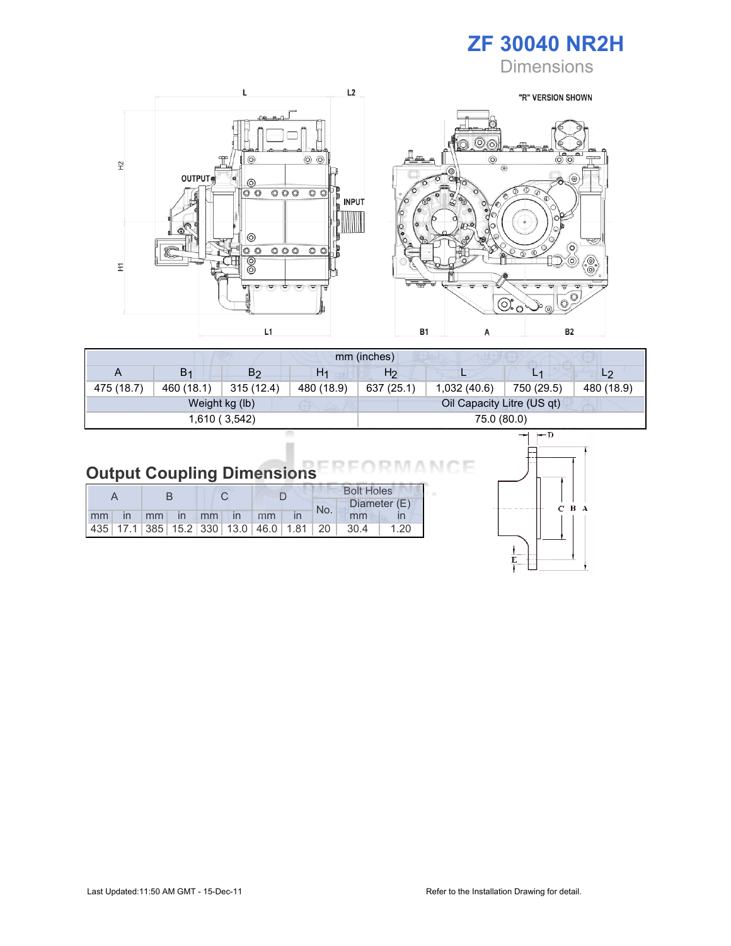

**Dimensions** 



| mm (inches) |                |                |                |                |                            |            |                |  |  |
|-------------|----------------|----------------|----------------|----------------|----------------------------|------------|----------------|--|--|
| A           | B <sub>1</sub> | B2             | H <sub>1</sub> | H <sub>2</sub> |                            | L1         | L <sub>2</sub> |  |  |
| 475 (18.7)  | 460 (18.1)     | 315(12.4)      | 480 (18.9)     | 637 (25.1)     | 1,032(40.6)                | 750 (29.5) | 480 (18.9)     |  |  |
|             |                | Weight kg (lb) |                |                | Oil Capacity Litre (US qt) |            |                |  |  |
|             |                | 1,610 (3,542)  |                |                | 75.0 (80.0)                |            |                |  |  |

#### **Output Coupling Dimensions** ANCE **RM**

|  |  |  |  |                      |  |  | <b>Bolt Holes</b> |                                                                |              |
|--|--|--|--|----------------------|--|--|-------------------|----------------------------------------------------------------|--------------|
|  |  |  |  |                      |  |  | No.               |                                                                | Diameter (E) |
|  |  |  |  | mm in mm in mm in mm |  |  |                   | mm                                                             |              |
|  |  |  |  |                      |  |  |                   | 435   17.1   385   15.2   330   13.0   46.0   1.81   20   30.4 | 1.20         |